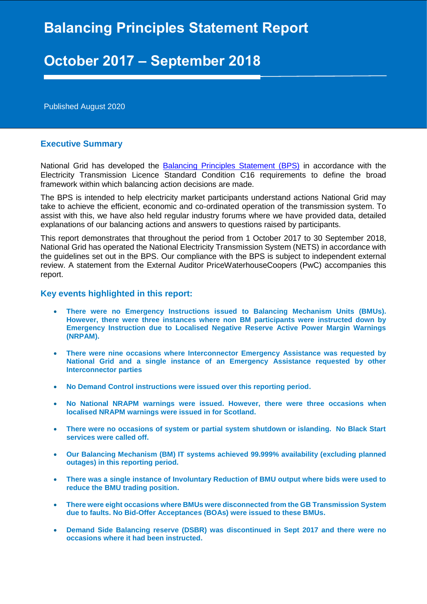# **Balancing Principles Statement Report**

# **October 2017 – September 2018**

Published August 2020

#### **Executive Summary**

National Grid has developed the **Balancing Principles Statement (BPS)** in accordance with the Electricity Transmission Licence Standard Condition C16 requirements to define the broad framework within which balancing action decisions are made.

The BPS is intended to help electricity market participants understand actions National Grid may take to achieve the efficient, economic and co-ordinated operation of the transmission system. To assist with this, we have also held regular industry forums where we have provided data, detailed explanations of our balancing actions and answers to questions raised by participants.

This report demonstrates that throughout the period from 1 October 2017 to 30 September 2018, National Grid has operated the National Electricity Transmission System (NETS) in accordance with the guidelines set out in the BPS. Our compliance with the BPS is subject to independent external review. A statement from the External Auditor PriceWaterhouseCoopers (PwC) accompanies this report.

#### **Key events highlighted in this report:**

- **There were no Emergency Instructions issued to Balancing Mechanism Units (BMUs). However, there were three instances where non BM participants were instructed down by Emergency Instruction due to Localised Negative Reserve Active Power Margin Warnings (NRPAM).**
- **There were nine occasions where Interconnector Emergency Assistance was requested by National Grid and a single instance of an Emergency Assistance requested by other Interconnector parties**
- **No Demand Control instructions were issued over this reporting period.**
- **No National NRAPM warnings were issued. However, there were three occasions when localised NRAPM warnings were issued in for Scotland.**
- **There were no occasions of system or partial system shutdown or islanding. No Black Start services were called off.**
- **Our Balancing Mechanism (BM) IT systems achieved 99.999% availability (excluding planned outages) in this reporting period.**
- **There was a single instance of Involuntary Reduction of BMU output where bids were used to reduce the BMU trading position.**
- **There were eight occasions where BMUs were disconnected from the GB Transmission System due to faults. No Bid-Offer Acceptances (BOAs) were issued to these BMUs.**
- **Demand Side Balancing reserve (DSBR) was discontinued in Sept 2017 and there were no occasions where it had been instructed.**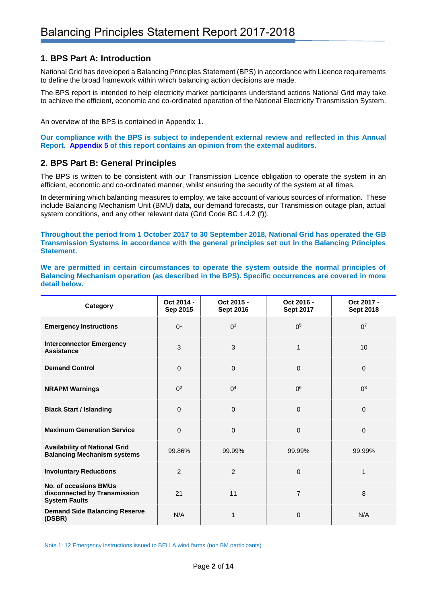# **1. BPS Part A: Introduction**

National Grid has developed a Balancing Principles Statement (BPS) in accordance with Licence requirements to define the broad framework within which balancing action decisions are made.

The BPS report is intended to help electricity market participants understand actions National Grid may take to achieve the efficient, economic and co-ordinated operation of the National Electricity Transmission System.

An overview of the BPS is contained in Appendix 1.

**Our compliance with the BPS is subject to independent external review and reflected in this Annual Report. [Appendix 5](#page-11-0) of this report contains an opinion from the external auditors.**

## **2. BPS Part B: General Principles**

The BPS is written to be consistent with our Transmission Licence obligation to operate the system in an efficient, economic and co-ordinated manner, whilst ensuring the security of the system at all times.

In determining which balancing measures to employ, we take account of various sources of information. These include Balancing Mechanism Unit (BMU) data, our demand forecasts, our Transmission outage plan, actual system conditions, and any other relevant data (Grid Code BC 1.4.2 (f)).

**Throughout the period from 1 October 2017 to 30 September 2018, National Grid has operated the GB Transmission Systems in accordance with the general principles set out in the Balancing Principles Statement.** 

**We are permitted in certain circumstances to operate the system outside the normal principles of Balancing Mechanism operation (as described in the BPS). Specific occurrences are covered in more detail below.** 

| Category                                                                             | Oct 2014 -<br>Sep 2015 | Oct 2015 -<br><b>Sept 2016</b> | Oct 2016 -<br><b>Sept 2017</b> | Oct 2017 -<br><b>Sept 2018</b> |
|--------------------------------------------------------------------------------------|------------------------|--------------------------------|--------------------------------|--------------------------------|
| <b>Emergency Instructions</b>                                                        | 0 <sup>1</sup>         | 0 <sup>3</sup>                 | 0 <sup>5</sup>                 | 0 <sup>7</sup>                 |
| <b>Interconnector Emergency</b><br><b>Assistance</b>                                 | 3                      | 3                              | 1                              | 10                             |
| <b>Demand Control</b>                                                                | $\mathbf 0$            | $\mathbf{0}$                   | 0                              | $\Omega$                       |
| <b>NRAPM Warnings</b>                                                                | 0 <sup>2</sup>         | 0 <sup>4</sup>                 | 0 <sup>6</sup>                 | 0 <sup>8</sup>                 |
| <b>Black Start / Islanding</b>                                                       | $\Omega$               | $\mathbf{0}$                   | $\overline{0}$                 | $\Omega$                       |
| <b>Maximum Generation Service</b>                                                    | $\Omega$               | $\mathbf{0}$                   | 0                              | $\Omega$                       |
| <b>Availability of National Grid</b><br><b>Balancing Mechanism systems</b>           | 99.86%                 | 99.99%                         | 99.99%                         | 99.99%                         |
| <b>Involuntary Reductions</b>                                                        | $\overline{2}$         | $\overline{2}$                 | 0                              | $\mathbf{1}$                   |
| <b>No. of occasions BMUs</b><br>disconnected by Transmission<br><b>System Faults</b> | 21                     | 11                             | $\overline{7}$                 | 8                              |
| <b>Demand Side Balancing Reserve</b><br>(DSBR)                                       | N/A                    | 1                              | 0                              | N/A                            |

Note 1: 12 Emergency instructions issued to BELLA wind farms (non BM participants)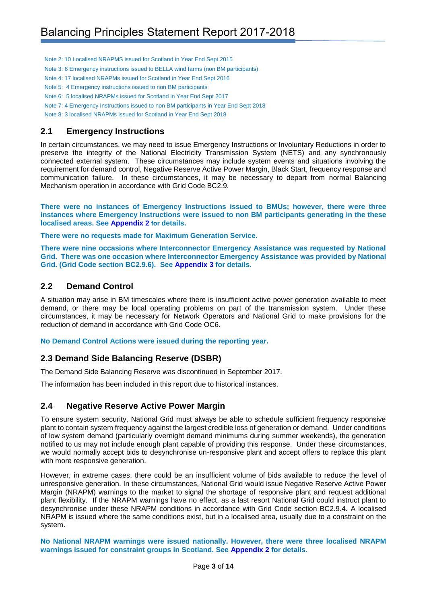Note 2: 10 Localised NRAPMS issued for Scotland in Year End Sept 2015

- Note 3: 6 Emergency instructions issued to BELLA wind farms (non BM participants)
- Note 4: 17 localised NRAPMs issued for Scotland in Year End Sept 2016
- Note 5: 4 Emergency instructions issued to non BM participants
- Note 6: 5 localised NRAPMs issued for Scotland in Year End Sept 2017
- Note 7: 4 Emergency Instructions issued to non BM participants in Year End Sept 2018

Note 8: 3 localised NRAPMs issued for Scotland in Year End Sept 2018

## **2.1 Emergency Instructions**

In certain circumstances, we may need to issue Emergency Instructions or Involuntary Reductions in order to preserve the integrity of the National Electricity Transmission System (NETS) and any synchronously connected external system. These circumstances may include system events and situations involving the requirement for demand control, Negative Reserve Active Power Margin, Black Start, frequency response and communication failure. In these circumstances, it may be necessary to depart from normal Balancing Mechanism operation in accordance with Grid Code BC2.9.

**There were no instances of Emergency Instructions issued to BMUs; however, there were three instances where Emergency Instructions were issued to non BM participants generating in the these localised areas. See [Appendix 2](#page-8-0) for details.**

**There were no requests made for Maximum Generation Service.** 

**There were nine occasions where Interconnector Emergency Assistance was requested by National Grid. There was one occasion where Interconnector Emergency Assistance was provided by National Grid. (Grid Code section BC2.9.6). See [Appendix 3](#page-9-0) for details.**

## **2.2 Demand Control**

A situation may arise in BM timescales where there is insufficient active power generation available to meet demand, or there may be local operating problems on part of the transmission system. Under these circumstances, it may be necessary for Network Operators and National Grid to make provisions for the reduction of demand in accordance with Grid Code OC6.

**No Demand Control Actions were issued during the reporting year.**

## **2.3 Demand Side Balancing Reserve (DSBR)**

The Demand Side Balancing Reserve was discontinued in September 2017.

The information has been included in this report due to historical instances.

# **2.4 Negative Reserve Active Power Margin**

To ensure system security, National Grid must always be able to schedule sufficient frequency responsive plant to contain system frequency against the largest credible loss of generation or demand. Under conditions of low system demand (particularly overnight demand minimums during summer weekends), the generation notified to us may not include enough plant capable of providing this response. Under these circumstances, we would normally accept bids to desynchronise un-responsive plant and accept offers to replace this plant with more responsive generation.

However, in extreme cases, there could be an insufficient volume of bids available to reduce the level of unresponsive generation. In these circumstances, National Grid would issue Negative Reserve Active Power Margin (NRAPM) warnings to the market to signal the shortage of responsive plant and request additional plant flexibility. If the NRAPM warnings have no effect, as a last resort National Grid could instruct plant to desynchronise under these NRAPM conditions in accordance with Grid Code section BC2.9.4. A localised NRAPM is issued where the same conditions exist, but in a localised area, usually due to a constraint on the system.

**No National NRAPM warnings were issued nationally. However, there were three localised NRAPM warnings issued for constraint groups in Scotland. See [Appendix 2](#page-8-0) for details.**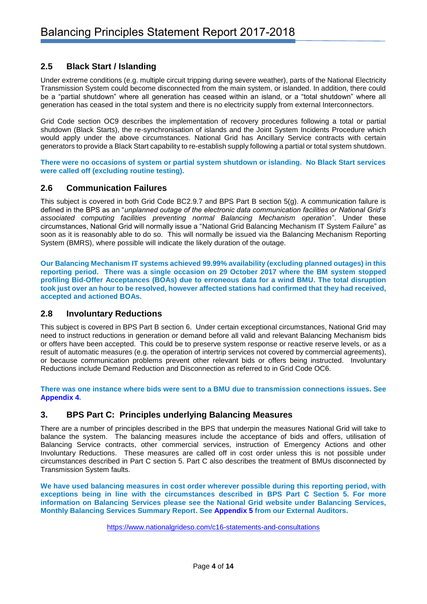# **2.5 Black Start / Islanding**

Under extreme conditions (e.g. multiple circuit tripping during severe weather), parts of the National Electricity Transmission System could become disconnected from the main system, or islanded. In addition, there could be a "partial shutdown" where all generation has ceased within an island, or a "total shutdown" where all generation has ceased in the total system and there is no electricity supply from external Interconnectors.

Grid Code section OC9 describes the implementation of recovery procedures following a total or partial shutdown (Black Starts), the re-synchronisation of islands and the Joint System Incidents Procedure which would apply under the above circumstances. National Grid has Ancillary Service contracts with certain generators to provide a Black Start capability to re-establish supply following a partial or total system shutdown.

**There were no occasions of system or partial system shutdown or islanding. No Black Start services were called off (excluding routine testing).** 

## **2.6 Communication Failures**

This subject is covered in both Grid Code BC2.9.7 and BPS Part B section 5(g). A communication failure is defined in the BPS as an "*unplanned outage of the electronic data communication facilities or National Grid's associated computing facilities preventing normal Balancing Mechanism operation*". Under these circumstances, National Grid will normally issue a "National Grid Balancing Mechanism IT System Failure" as soon as it is reasonably able to do so. This will normally be issued via the Balancing Mechanism Reporting System (BMRS), where possible will indicate the likely duration of the outage.

**Our Balancing Mechanism IT systems achieved 99.99% availability (excluding planned outages) in this reporting period. There was a single occasion on 29 October 2017 where the BM system stopped profiling Bid-Offer Acceptances (BOAs) due to erroneous data for a wind BMU. The total disruption took just over an hour to be resolved, however affected stations had confirmed that they had received, accepted and actioned BOAs.**

## **2.8 Involuntary Reductions**

This subject is covered in BPS Part B section 6. Under certain exceptional circumstances, National Grid may need to instruct reductions in generation or demand before all valid and relevant Balancing Mechanism bids or offers have been accepted. This could be to preserve system response or reactive reserve levels, or as a result of automatic measures (e.g. the operation of intertrip services not covered by commercial agreements), or because communication problems prevent other relevant bids or offers being instructed. Involuntary Reductions include Demand Reduction and Disconnection as referred to in Grid Code OC6.

**There was one instance where bids were sent to a BMU due to transmission connections issues. See [Appendix 4.](#page-10-0)**

## **3. BPS Part C: Principles underlying Balancing Measures**

There are a number of principles described in the BPS that underpin the measures National Grid will take to balance the system. The balancing measures include the acceptance of bids and offers, utilisation of Balancing Service contracts, other commercial services, instruction of Emergency Actions and other Involuntary Reductions. These measures are called off in cost order unless this is not possible under circumstances described in Part C section 5. Part C also describes the treatment of BMUs disconnected by Transmission System faults.

**We have used balancing measures in cost order wherever possible during this reporting period, with exceptions being in line with the circumstances described in BPS Part C Section 5. For more information on Balancing Services please see the National Grid website under Balancing Services, Monthly Balancing Services Summary Report. See [Appendix 5](#page-11-0) from our External Auditors.**

<https://www.nationalgrideso.com/c16-statements-and-consultations>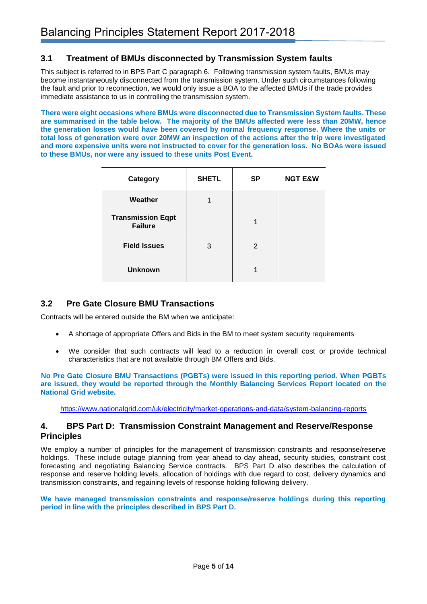# **3.1 Treatment of BMUs disconnected by Transmission System faults**

This subject is referred to in BPS Part C paragraph 6. Following transmission system faults, BMUs may become instantaneously disconnected from the transmission system. Under such circumstances following the fault and prior to reconnection, we would only issue a BOA to the affected BMUs if the trade provides immediate assistance to us in controlling the transmission system.

**There were eight occasions where BMUs were disconnected due to Transmission System faults. These are summarised in the table below. The majority of the BMUs affected were less than 20MW, hence the generation losses would have been covered by normal frequency response. Where the units or total loss of generation were over 20MW an inspection of the actions after the trip were investigated and more expensive units were not instructed to cover for the generation loss. No BOAs were issued to these BMUs, nor were any issued to these units Post Event.**

| Category                                   | <b>SHETL</b> | <b>SP</b> | <b>NGT E&amp;W</b> |
|--------------------------------------------|--------------|-----------|--------------------|
| Weather                                    |              |           |                    |
| <b>Transmission Eqpt</b><br><b>Failure</b> |              |           |                    |
| <b>Field Issues</b>                        | 3            | 2         |                    |
| <b>Unknown</b>                             |              |           |                    |

# **3.2 Pre Gate Closure BMU Transactions**

Contracts will be entered outside the BM when we anticipate:

- A shortage of appropriate Offers and Bids in the BM to meet system security requirements
- We consider that such contracts will lead to a reduction in overall cost or provide technical characteristics that are not available through BM Offers and Bids.

**No Pre Gate Closure BMU Transactions (PGBTs) were issued in this reporting period. When PGBTs are issued, they would be reported through the Monthly Balancing Services Report located on the National Grid website.**

<https://www.nationalgrid.com/uk/electricity/market-operations-and-data/system-balancing-reports>

# **4. BPS Part D: Transmission Constraint Management and Reserve/Response Principles**

We employ a number of principles for the management of transmission constraints and response/reserve holdings. These include outage planning from year ahead to day ahead, security studies, constraint cost forecasting and negotiating Balancing Service contracts. BPS Part D also describes the calculation of response and reserve holding levels, allocation of holdings with due regard to cost, delivery dynamics and transmission constraints, and regaining levels of response holding following delivery.

**We have managed transmission constraints and response/reserve holdings during this reporting period in line with the principles described in BPS Part D.**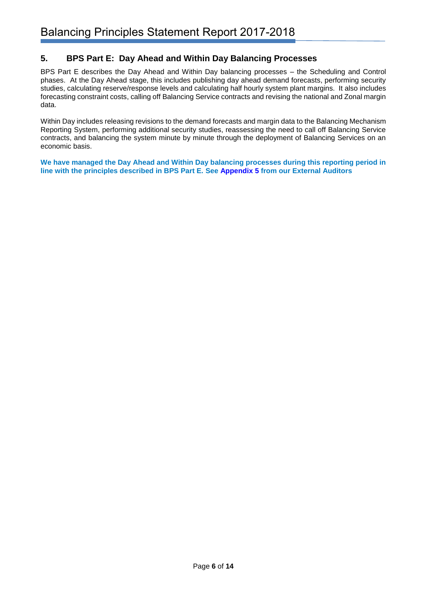# **5. BPS Part E: Day Ahead and Within Day Balancing Processes**

BPS Part E describes the Day Ahead and Within Day balancing processes – the Scheduling and Control phases. At the Day Ahead stage, this includes publishing day ahead demand forecasts, performing security studies, calculating reserve/response levels and calculating half hourly system plant margins. It also includes forecasting constraint costs, calling off Balancing Service contracts and revising the national and Zonal margin data.

Within Day includes releasing revisions to the demand forecasts and margin data to the Balancing Mechanism Reporting System, performing additional security studies, reassessing the need to call off Balancing Service contracts, and balancing the system minute by minute through the deployment of Balancing Services on an economic basis.

**We have managed the Day Ahead and Within Day balancing processes during this reporting period in line with the principles described in BPS Part E. See [Appendix 5](#page-11-0) from our External Auditors**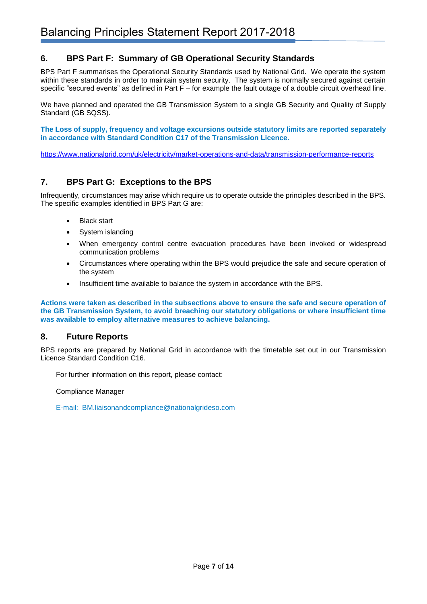# **6. BPS Part F: Summary of GB Operational Security Standards**

BPS Part F summarises the Operational Security Standards used by National Grid. We operate the system within these standards in order to maintain system security. The system is normally secured against certain specific "secured events" as defined in Part F – for example the fault outage of a double circuit overhead line.

We have planned and operated the GB Transmission System to a single GB Security and Quality of Supply Standard (GB SQSS).

**The Loss of supply, frequency and voltage excursions outside statutory limits are reported separately in accordance with Standard Condition C17 of the Transmission Licence.**

<https://www.nationalgrid.com/uk/electricity/market-operations-and-data/transmission-performance-reports>

# **7. BPS Part G: Exceptions to the BPS**

Infrequently, circumstances may arise which require us to operate outside the principles described in the BPS. The specific examples identified in BPS Part G are:

- **Black start**
- System islanding
- When emergency control centre evacuation procedures have been invoked or widespread communication problems
- Circumstances where operating within the BPS would prejudice the safe and secure operation of the system
- Insufficient time available to balance the system in accordance with the BPS.

**Actions were taken as described in the subsections above to ensure the safe and secure operation of the GB Transmission System, to avoid breaching our statutory obligations or where insufficient time was available to employ alternative measures to achieve balancing.**

## **8. Future Reports**

BPS reports are prepared by National Grid in accordance with the timetable set out in our Transmission Licence Standard Condition C16.

For further information on this report, please contact:

Compliance Manager

E-mail: BM.liaisonandcompliance@nationalgrideso.com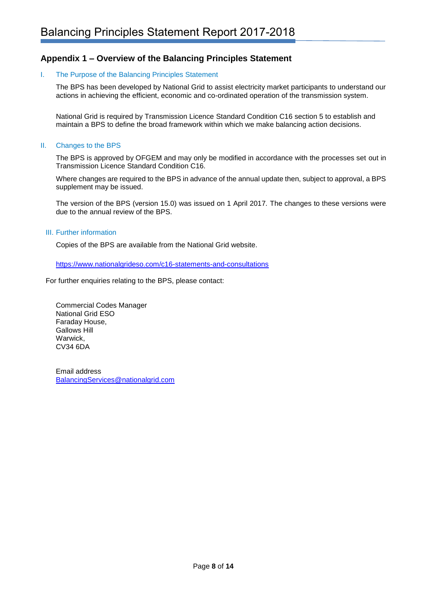# **Appendix 1 – Overview of the Balancing Principles Statement**

#### I. The Purpose of the Balancing Principles Statement

The BPS has been developed by National Grid to assist electricity market participants to understand our actions in achieving the efficient, economic and co-ordinated operation of the transmission system.

National Grid is required by Transmission Licence Standard Condition C16 section 5 to establish and maintain a BPS to define the broad framework within which we make balancing action decisions.

#### II. Changes to the BPS

The BPS is approved by OFGEM and may only be modified in accordance with the processes set out in Transmission Licence Standard Condition C16.

Where changes are required to the BPS in advance of the annual update then, subject to approval, a BPS supplement may be issued.

The version of the BPS (version 15.0) was issued on 1 April 2017*.* The changes to these versions were due to the annual review of the BPS.

#### III. Further information

Copies of the BPS are available from the National Grid website.

<https://www.nationalgrideso.com/c16-statements-and-consultations>

For further enquiries relating to the BPS, please contact:

Commercial Codes Manager National Grid ESO Faraday House, Gallows Hill Warwick, CV34 6DA

Email address [BalancingServices@nationalgrid.com](mailto:BalancingServices@nationalgrid.com)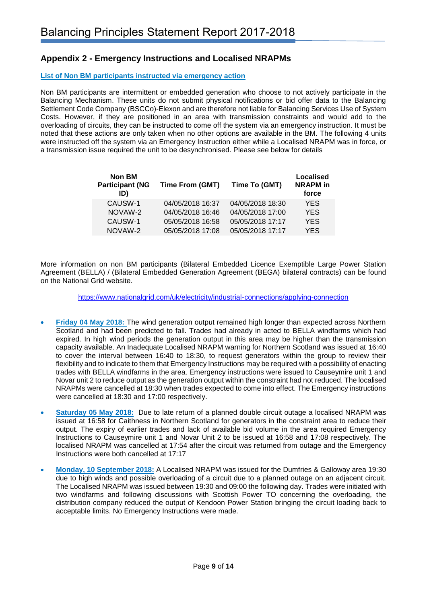# <span id="page-8-0"></span>**Appendix 2 - Emergency Instructions and Localised NRAPMs**

#### **List of Non BM participants instructed via emergency action**

Non BM participants are intermittent or embedded generation who choose to not actively participate in the Balancing Mechanism. These units do not submit physical notifications or bid offer data to the Balancing Settlement Code Company (BSCCo)-Elexon and are therefore not liable for Balancing Services Use of System Costs. However, if they are positioned in an area with transmission constraints and would add to the overloading of circuits, they can be instructed to come off the system via an emergency instruction. It must be noted that these actions are only taken when no other options are available in the BM. The following 4 units were instructed off the system via an Emergency Instruction either while a Localised NRAPM was in force, or a transmission issue required the unit to be desynchronised. Please see below for details

| <b>Time From (GMT)</b> | Time To (GMT)    | <b>Localised</b><br><b>NRAPM</b> in<br>force |
|------------------------|------------------|----------------------------------------------|
| 04/05/2018 16:37       | 04/05/2018 18:30 | <b>YES</b>                                   |
| 04/05/2018 16:46       | 04/05/2018 17:00 | <b>YES</b>                                   |
| 05/05/2018 16:58       | 05/05/2018 17:17 | <b>YES</b>                                   |
| 05/05/2018 17:08       | 05/05/2018 17:17 | <b>YES</b>                                   |
|                        |                  |                                              |

More information on non BM participants (Bilateral Embedded Licence Exemptible Large Power Station Agreement (BELLA) / (Bilateral Embedded Generation Agreement (BEGA) bilateral contracts) can be found on the National Grid website.

<https://www.nationalgrid.com/uk/electricity/industrial-connections/applying-connection>

- **Friday 04 May 2018:** The wind generation output remained high longer than expected across Northern Scotland and had been predicted to fall. Trades had already in acted to BELLA windfarms which had expired. In high wind periods the generation output in this area may be higher than the transmission capacity available. An Inadequate Localised NRAPM warning for Northern Scotland was issued at 16:40 to cover the interval between 16:40 to 18:30, to request generators within the group to review their flexibility and to indicate to them that Emergency Instructions may be required with a possibility of enacting trades with BELLA windfarms in the area. Emergency instructions were issued to Causeymire unit 1 and Novar unit 2 to reduce output as the generation output within the constraint had not reduced. The localised NRAPMs were cancelled at 18:30 when trades expected to come into effect. The Emergency instructions were cancelled at 18:30 and 17:00 respectively.
- **Saturday 05 May 2018:** Due to late return of a planned double circuit outage a localised NRAPM was issued at 16:58 for Caithness in Northern Scotland for generators in the constraint area to reduce their output. The expiry of earlier trades and lack of available bid volume in the area required Emergency Instructions to Causeymire unit 1 and Novar Unit 2 to be issued at 16:58 and 17:08 respectively. The localised NRAPM was cancelled at 17:54 after the circuit was returned from outage and the Emergency Instructions were both cancelled at 17:17
- **Monday, 10 September 2018:** A Localised NRAPM was issued for the Dumfries & Galloway area 19:30 due to high winds and possible overloading of a circuit due to a planned outage on an adjacent circuit. The Localised NRAPM was issued between 19:30 and 09:00 the following day. Trades were initiated with two windfarms and following discussions with Scottish Power TO concerning the overloading, the distribution company reduced the output of Kendoon Power Station bringing the circuit loading back to acceptable limits. No Emergency Instructions were made.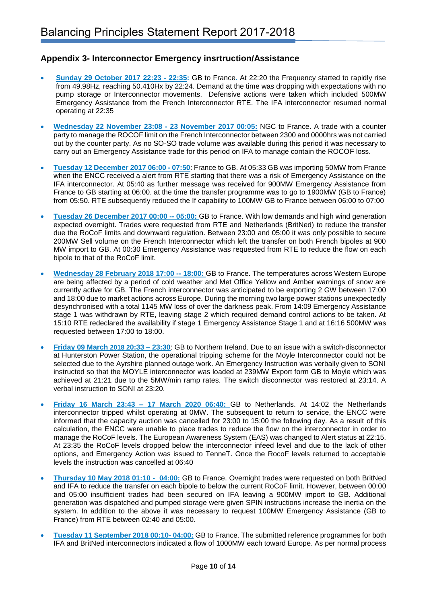# <span id="page-9-0"></span>**Appendix 3- Interconnector Emergency insrtruction/Assistance**

- **Sunday 29 October 2017 22:23 - 22:35:** GB to France**.** At 22:20 the Frequency started to rapidly rise from 49.98Hz, reaching 50.410Hx by 22:24. Demand at the time was dropping with expectations with no pump storage or Interconnector movements. Defensive actions were taken which included 500MW Emergency Assistance from the French Interconnector RTE. The IFA interconnector resumed normal operating at 22:35
- **Wednesday 22 November 23:08 - 23 November 2017 00:05:** NGC to France. A trade with a counter party to manage the ROCOF limit on the French Interconnector between 2300 and 0000hrs was not carried out by the counter party. As no SO-SO trade volume was available during this period it was necessary to carry out an Emergency Assistance trade for this period on IFA to manage contain the ROCOF loss.
- **Tuesday 12 December 2017 06:00 - 07:50**: France to GB. At 05:33 GB was importing 50MW from France when the ENCC received a alert from RTE starting that there was a risk of Emergency Assistance on the IFA interconnector. At 05:40 as further message was received for 900MW Emergency Assistance from France to GB starting at 06:00. at the time the transfer programme was to go to 1900MW (GB to France) from 05:50. RTE subsequently reduced the If capability to 100MW GB to France between 06:00 to 07:00
- **Tuesday 26 December 2017 00:00 -- 05:00:** GB to France. With low demands and high wind generation expected overnight. Trades were requested from RTE and Netherlands (BritNed) to reduce the transfer due the RoCoF limits and downward regulation. Between 23:00 and 05:00 it was only possible to secure 200MW Sell volume on the French Interconnector which left the transfer on both French bipoles at 900 MW import to GB. At 00:30 Emergency Assistance was requested from RTE to reduce the flow on each bipole to that of the RoCoF limit.
- **Wednesday 28 February 2018 17:00 -- 18:00:** GB to France. The temperatures across Western Europe are being affected by a period of cold weather and Met Office Yellow and Amber warnings of snow are currently active for GB. The French interconnector was anticipated to be exporting 2 GW between 17:00 and 18:00 due to market actions across Europe. During the morning two large power stations unexpectedly desynchronised with a total 1145 MW loss of over the darkness peak. From 14:09 Emergency Assistance stage 1 was withdrawn by RTE, leaving stage 2 which required demand control actions to be taken. At 15:10 RTE redeclared the availability if stage 1 Emergency Assistance Stage 1 and at 16:16 500MW was requested between 17:00 to 18:00.
- **Friday 09 March 2018 20:33 – 23:30**: GB to Northern Ireland. Due to an issue with a switch-disconnector at Hunterston Power Station, the operational tripping scheme for the Moyle Interconnector could not be selected due to the Ayrshire planned outage work. An Emergency Instruction was verbally given to SONI instructed so that the MOYLE interconnector was loaded at 239MW Export form GB to Moyle which was achieved at 21:21 due to the 5MW/min ramp rates. The switch disconnector was restored at 23:14. A verbal instruction to SONI at 23:20.
- **Friday 16 March 23:43 – 17 March 2020 06:40:** GB to Netherlands. At 14:02 the Netherlands interconnector tripped whilst operating at 0MW. The subsequent to return to service, the ENCC were informed that the capacity auction was cancelled for 23:00 to 15:00 the following day. As a result of this calculation, the ENCC were unable to place trades to reduce the flow on the interconnector in order to manage the RoCoF levels. The European Awareness System (EAS) was changed to Alert status at 22:15. At 23:35 the RoCoF levels dropped below the interconnector infeed level and due to the lack of other options, and Emergency Action was issued to TenneT. Once the RocoF levels returned to acceptable levels the instruction was cancelled at 06:40
- **Thursday 10 May 2018 01:10 04:00:** GB to France. Overnight trades were requested on both BritNed and IFA to reduce the transfer on each bipole to below the current RoCoF limit. However, between 00:00 and 05:00 insufficient trades had been secured on IFA leaving a 900MW import to GB. Additional generation was dispatched and pumped storage were given SPIN instructions increase the inertia on the system. In addition to the above it was necessary to request 100MW Emergency Assistance (GB to France) from RTE between 02:40 and 05:00.
- **Tuesday 11 September 2018 00:10- 04:00:** GB to France. The submitted reference programmes for both IFA and BritNed interconnectors indicated a flow of 1000MW each toward Europe. As per normal process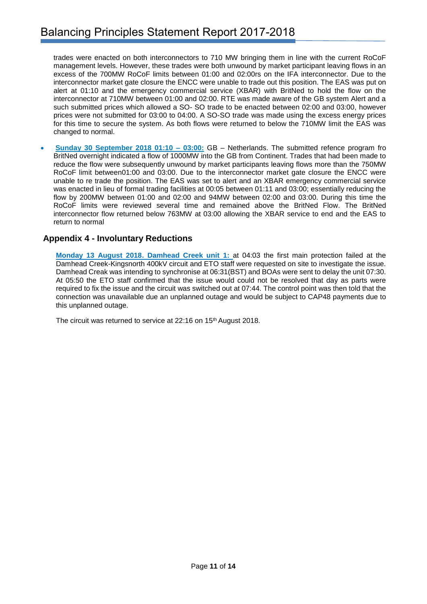trades were enacted on both interconnectors to 710 MW bringing them in line with the current RoCoF management levels. However, these trades were both unwound by market participant leaving flows in an excess of the 700MW RoCoF limits between 01:00 and 02:00rs on the IFA interconnector. Due to the interconnector market gate closure the ENCC were unable to trade out this position. The EAS was put on alert at 01:10 and the emergency commercial service (XBAR) with BritNed to hold the flow on the interconnector at 710MW between 01:00 and 02:00. RTE was made aware of the GB system Alert and a such submitted prices which allowed a SO- SO trade to be enacted between 02:00 and 03:00, however prices were not submitted for 03:00 to 04:00. A SO-SO trade was made using the excess energy prices for this time to secure the system. As both flows were returned to below the 710MW limit the EAS was changed to normal.

• **Sunday 30 September 2018 01:10 – 03:00:** GB – Netherlands. The submitted refence program fro BritNed overnight indicated a flow of 1000MW into the GB from Continent. Trades that had been made to reduce the flow were subsequently unwound by market participants leaving flows more than the 750MW RoCoF limit between01:00 and 03:00. Due to the interconnector market gate closure the ENCC were unable to re trade the position. The EAS was set to alert and an XBAR emergency commercial service was enacted in lieu of formal trading facilities at 00:05 between 01:11 and 03:00; essentially reducing the flow by 200MW between 01:00 and 02:00 and 94MW between 02:00 and 03:00. During this time the RoCoF limits were reviewed several time and remained above the BritNed Flow. The BritNed interconnector flow returned below 763MW at 03:00 allowing the XBAR service to end and the EAS to return to normal

# <span id="page-10-0"></span>**Appendix 4 - Involuntary Reductions**

**Monday 13 August 2018. Damhead Creek unit 1:** at 04:03 the first main protection failed at the Damhead Creek-Kingsnorth 400kV circuit and ETO staff were requested on site to investigate the issue. Damhead Creak was intending to synchronise at 06:31(BST) and BOAs were sent to delay the unit 07:30. At 05:50 the ETO staff confirmed that the issue would could not be resolved that day as parts were required to fix the issue and the circuit was switched out at 07:44. The control point was then told that the connection was unavailable due an unplanned outage and would be subject to CAP48 payments due to this unplanned outage.

The circuit was returned to service at 22:16 on 15<sup>th</sup> August 2018.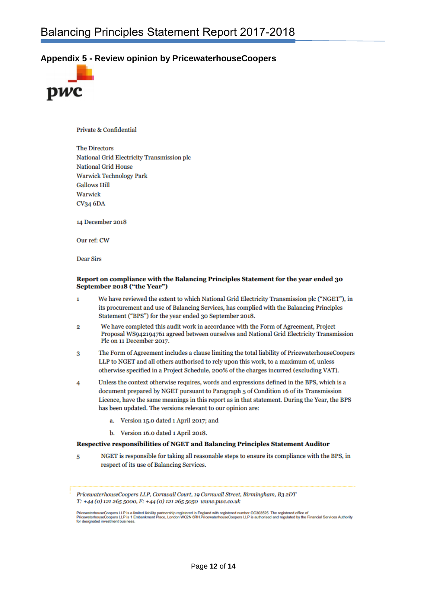## <span id="page-11-0"></span>**Appendix 5 - Review opinion by PricewaterhouseCoopers**



Private & Confidential

**The Directors National Grid Electricity Transmission plc National Grid House Warwick Technology Park Gallows Hill** Warwick **CV34 6DA** 

14 December 2018

Our ref: CW

**Dear Sirs** 

#### Report on compliance with the Balancing Principles Statement for the year ended 30 September 2018 ("the Year")

- We have reviewed the extent to which National Grid Electricity Transmission plc ("NGET"), in  $\mathbf{1}$ its procurement and use of Balancing Services, has complied with the Balancing Principles Statement ("BPS") for the year ended 30 September 2018.
- We have completed this audit work in accordance with the Form of Agreement, Project  $\overline{2}$ Proposal WS942194761 agreed between ourselves and National Grid Electricity Transmission Plc on 11 December 2017.
- The Form of Agreement includes a clause limiting the total liability of PricewaterhouseCoopers 3 LLP to NGET and all others authorised to rely upon this work, to a maximum of, unless otherwise specified in a Project Schedule, 200% of the charges incurred (excluding VAT).
- Unless the context otherwise requires, words and expressions defined in the BPS, which is a  $\boldsymbol{A}$ document prepared by NGET pursuant to Paragraph 5 of Condition 16 of its Transmission Licence, have the same meanings in this report as in that statement. During the Year, the BPS has been updated. The versions relevant to our opinion are:
	- a. Version 15.0 dated 1 April 2017; and
	- b. Version 16.0 dated 1 April 2018.

#### Respective responsibilities of NGET and Balancing Principles Statement Auditor

NGET is responsible for taking all reasonable steps to ensure its compliance with the BPS, in 5 respect of its use of Balancing Services.

PricewaterhouseCoopers LLP, Cornwall Court, 19 Cornwall Street, Birmingham, B3 2DT T: +44 (0) 121 265 5000, F: +44 (0) 121 265 5050 www.pwc.co.uk

PricewaterhouseCoopers LLP is a limited liability partnership registered in England with registered number OC303525. The registered office of<br>PricewaterhouseCoopers LLP is 1 Embankment Place, London WC2N 6RH.Pricewaterhous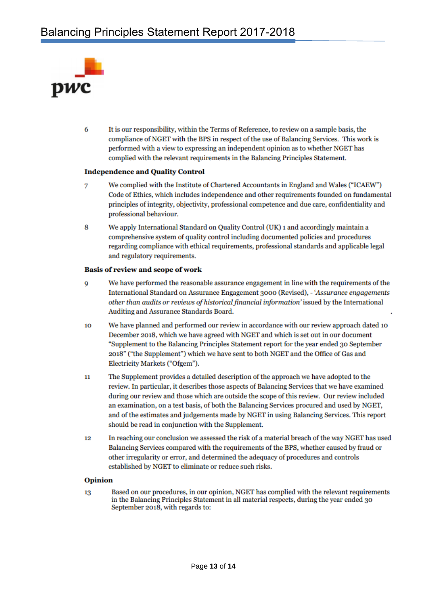

6 It is our responsibility, within the Terms of Reference, to review on a sample basis, the compliance of NGET with the BPS in respect of the use of Balancing Services. This work is performed with a view to expressing an independent opinion as to whether NGET has complied with the relevant requirements in the Balancing Principles Statement.

#### **Independence and Quality Control**

- 7 We complied with the Institute of Chartered Accountants in England and Wales ("ICAEW") Code of Ethics, which includes independence and other requirements founded on fundamental principles of integrity, objectivity, professional competence and due care, confidentiality and professional behaviour.
- 8 We apply International Standard on Quality Control (UK) 1 and accordingly maintain a comprehensive system of quality control including documented policies and procedures regarding compliance with ethical requirements, professional standards and applicable legal and regulatory requirements.

#### **Basis of review and scope of work**

- We have performed the reasonable assurance engagement in line with the requirements of the 9 International Standard on Assurance Engagement 3000 (Revised), - 'Assurance engagements other than audits or reviews of historical financial information' issued by the International Auditing and Assurance Standards Board.
- We have planned and performed our review in accordance with our review approach dated 10 10 December 2018, which we have agreed with NGET and which is set out in our document "Supplement to the Balancing Principles Statement report for the year ended 30 September 2018" ("the Supplement") which we have sent to both NGET and the Office of Gas and Electricity Markets ("Ofgem").
- $11$ The Supplement provides a detailed description of the approach we have adopted to the review. In particular, it describes those aspects of Balancing Services that we have examined during our review and those which are outside the scope of this review. Our review included an examination, on a test basis, of both the Balancing Services procured and used by NGET, and of the estimates and judgements made by NGET in using Balancing Services. This report should be read in conjunction with the Supplement.
- In reaching our conclusion we assessed the risk of a material breach of the way NGET has used 12 Balancing Services compared with the requirements of the BPS, whether caused by fraud or other irregularity or error, and determined the adequacy of procedures and controls established by NGET to eliminate or reduce such risks.

#### **Opinion**

Based on our procedures, in our opinion, NGET has complied with the relevant requirements 13 in the Balancing Principles Statement in all material respects, during the year ended 30 September 2018, with regards to: